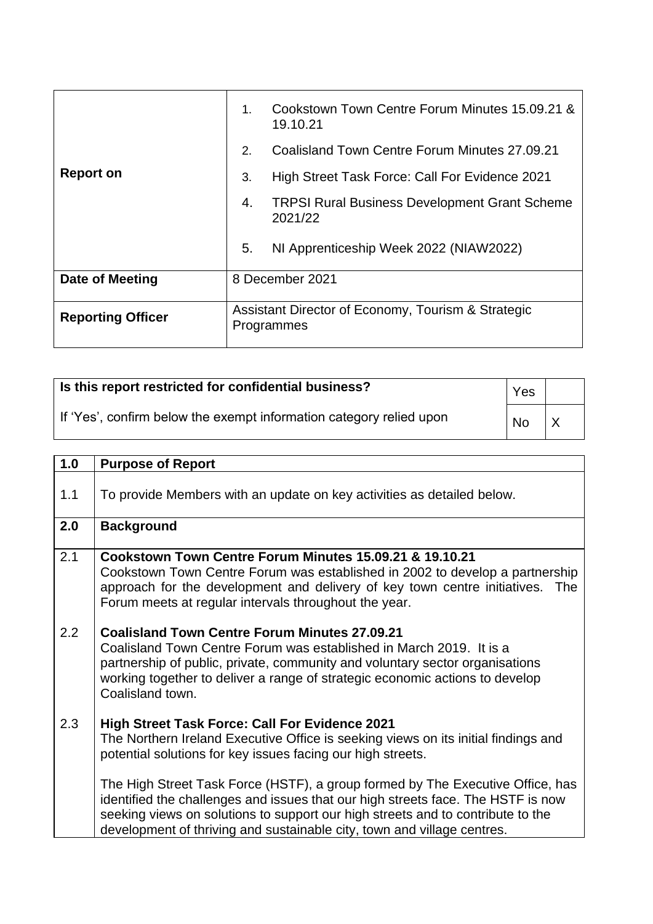|                          | 1.             | Cookstown Town Centre Forum Minutes 15.09.21 &<br>19.10.21       |
|--------------------------|----------------|------------------------------------------------------------------|
|                          | 2 <sub>1</sub> | Coalisland Town Centre Forum Minutes 27.09.21                    |
| <b>Report on</b>         | 3.             | High Street Task Force: Call For Evidence 2021                   |
|                          | 4.             | <b>TRPSI Rural Business Development Grant Scheme</b><br>2021/22  |
|                          | 5.             | NI Apprenticeship Week 2022 (NIAW2022)                           |
| Date of Meeting          |                | 8 December 2021                                                  |
| <b>Reporting Officer</b> |                | Assistant Director of Economy, Tourism & Strategic<br>Programmes |

| Is this report restricted for confidential business?                |           |  |
|---------------------------------------------------------------------|-----------|--|
| If 'Yes', confirm below the exempt information category relied upon | <b>No</b> |  |

| 1.0 | <b>Purpose of Report</b>                                                                                                                                                                                                                                                                                                         |
|-----|----------------------------------------------------------------------------------------------------------------------------------------------------------------------------------------------------------------------------------------------------------------------------------------------------------------------------------|
|     |                                                                                                                                                                                                                                                                                                                                  |
| 1.1 | To provide Members with an update on key activities as detailed below.                                                                                                                                                                                                                                                           |
| 2.0 | <b>Background</b>                                                                                                                                                                                                                                                                                                                |
| 2.1 | Cookstown Town Centre Forum Minutes 15.09.21 & 19.10.21<br>Cookstown Town Centre Forum was established in 2002 to develop a partnership<br>approach for the development and delivery of key town centre initiatives.<br><b>The</b><br>Forum meets at regular intervals throughout the year.                                      |
| 2.2 | <b>Coalisland Town Centre Forum Minutes 27.09.21</b><br>Coalisland Town Centre Forum was established in March 2019. It is a<br>partnership of public, private, community and voluntary sector organisations<br>working together to deliver a range of strategic economic actions to develop<br>Coalisland town.                  |
| 2.3 | <b>High Street Task Force: Call For Evidence 2021</b><br>The Northern Ireland Executive Office is seeking views on its initial findings and<br>potential solutions for key issues facing our high streets.                                                                                                                       |
|     | The High Street Task Force (HSTF), a group formed by The Executive Office, has<br>identified the challenges and issues that our high streets face. The HSTF is now<br>seeking views on solutions to support our high streets and to contribute to the<br>development of thriving and sustainable city, town and village centres. |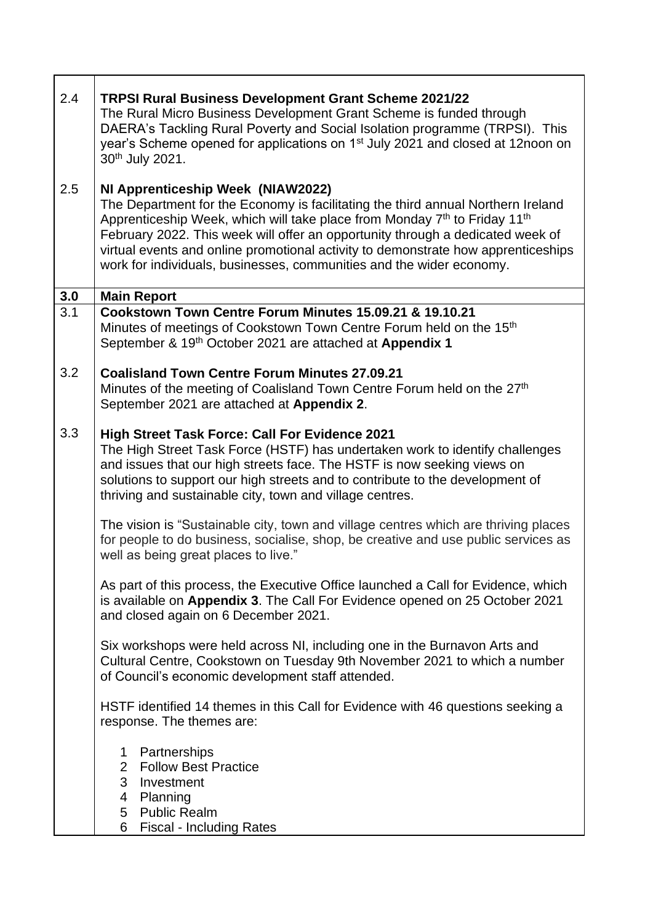| 2.4 | <b>TRPSI Rural Business Development Grant Scheme 2021/22</b><br>The Rural Micro Business Development Grant Scheme is funded through<br>DAERA's Tackling Rural Poverty and Social Isolation programme (TRPSI). This<br>year's Scheme opened for applications on 1 <sup>st</sup> July 2021 and closed at 12noon on<br>30th July 2021.                                                                                                                                       |
|-----|---------------------------------------------------------------------------------------------------------------------------------------------------------------------------------------------------------------------------------------------------------------------------------------------------------------------------------------------------------------------------------------------------------------------------------------------------------------------------|
| 2.5 | NI Apprenticeship Week (NIAW2022)<br>The Department for the Economy is facilitating the third annual Northern Ireland<br>Apprenticeship Week, which will take place from Monday 7 <sup>th</sup> to Friday 11 <sup>th</sup><br>February 2022. This week will offer an opportunity through a dedicated week of<br>virtual events and online promotional activity to demonstrate how apprenticeships<br>work for individuals, businesses, communities and the wider economy. |
| 3.0 | <b>Main Report</b>                                                                                                                                                                                                                                                                                                                                                                                                                                                        |
| 3.1 | Cookstown Town Centre Forum Minutes 15.09.21 & 19.10.21<br>Minutes of meetings of Cookstown Town Centre Forum held on the 15 <sup>th</sup><br>September & 19th October 2021 are attached at Appendix 1                                                                                                                                                                                                                                                                    |
| 3.2 | <b>Coalisland Town Centre Forum Minutes 27.09.21</b><br>Minutes of the meeting of Coalisland Town Centre Forum held on the 27 <sup>th</sup><br>September 2021 are attached at Appendix 2.                                                                                                                                                                                                                                                                                 |
| 3.3 | <b>High Street Task Force: Call For Evidence 2021</b><br>The High Street Task Force (HSTF) has undertaken work to identify challenges<br>and issues that our high streets face. The HSTF is now seeking views on<br>solutions to support our high streets and to contribute to the development of<br>thriving and sustainable city, town and village centres.                                                                                                             |
|     | The vision is "Sustainable city, town and village centres which are thriving places<br>for people to do business, socialise, shop, be creative and use public services as<br>well as being great places to live."                                                                                                                                                                                                                                                         |
|     | As part of this process, the Executive Office launched a Call for Evidence, which<br>is available on Appendix 3. The Call For Evidence opened on 25 October 2021<br>and closed again on 6 December 2021.                                                                                                                                                                                                                                                                  |
|     | Six workshops were held across NI, including one in the Burnavon Arts and<br>Cultural Centre, Cookstown on Tuesday 9th November 2021 to which a number<br>of Council's economic development staff attended.                                                                                                                                                                                                                                                               |
|     | HSTF identified 14 themes in this Call for Evidence with 46 questions seeking a<br>response. The themes are:                                                                                                                                                                                                                                                                                                                                                              |
|     | Partnerships<br>1<br><b>Follow Best Practice</b><br>$\overline{2}$<br>3<br>Investment<br>Planning<br>4<br>5 Public Realm<br><b>Fiscal - Including Rates</b><br>6                                                                                                                                                                                                                                                                                                          |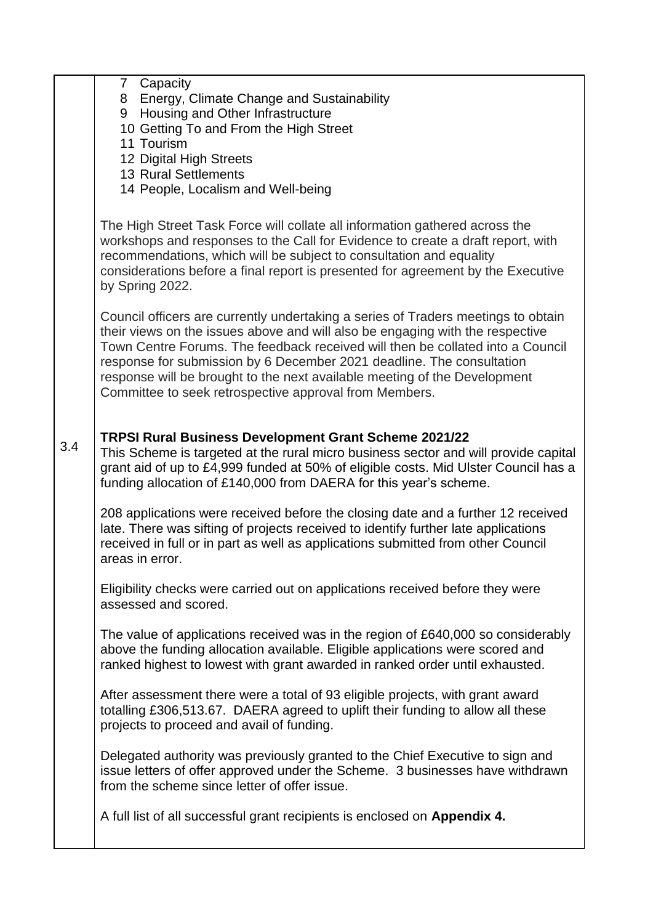|     | 7 Capacity<br>8 Energy, Climate Change and Sustainability<br>9 Housing and Other Infrastructure<br>10 Getting To and From the High Street<br>11 Tourism<br>12 Digital High Streets<br><b>13 Rural Settlements</b><br>14 People, Localism and Well-being                                                                                                                                                                                                              |
|-----|----------------------------------------------------------------------------------------------------------------------------------------------------------------------------------------------------------------------------------------------------------------------------------------------------------------------------------------------------------------------------------------------------------------------------------------------------------------------|
|     | The High Street Task Force will collate all information gathered across the<br>workshops and responses to the Call for Evidence to create a draft report, with<br>recommendations, which will be subject to consultation and equality<br>considerations before a final report is presented for agreement by the Executive<br>by Spring 2022.                                                                                                                         |
|     | Council officers are currently undertaking a series of Traders meetings to obtain<br>their views on the issues above and will also be engaging with the respective<br>Town Centre Forums. The feedback received will then be collated into a Council<br>response for submission by 6 December 2021 deadline. The consultation<br>response will be brought to the next available meeting of the Development<br>Committee to seek retrospective approval from Members. |
| 3.4 | TRPSI Rural Business Development Grant Scheme 2021/22<br>This Scheme is targeted at the rural micro business sector and will provide capital<br>grant aid of up to £4,999 funded at 50% of eligible costs. Mid Ulster Council has a<br>funding allocation of £140,000 from DAERA for this year's scheme.                                                                                                                                                             |
|     | 208 applications were received before the closing date and a further 12 received<br>late. There was sifting of projects received to identify further late applications<br>received in full or in part as well as applications submitted from other Council<br>areas in error.                                                                                                                                                                                        |
|     | Eligibility checks were carried out on applications received before they were<br>assessed and scored.                                                                                                                                                                                                                                                                                                                                                                |
|     | The value of applications received was in the region of £640,000 so considerably<br>above the funding allocation available. Eligible applications were scored and<br>ranked highest to lowest with grant awarded in ranked order until exhausted.                                                                                                                                                                                                                    |
|     | After assessment there were a total of 93 eligible projects, with grant award<br>totalling £306,513.67. DAERA agreed to uplift their funding to allow all these<br>projects to proceed and avail of funding.                                                                                                                                                                                                                                                         |
|     | Delegated authority was previously granted to the Chief Executive to sign and<br>issue letters of offer approved under the Scheme. 3 businesses have withdrawn<br>from the scheme since letter of offer issue.                                                                                                                                                                                                                                                       |
|     | A full list of all successful grant recipients is enclosed on Appendix 4.                                                                                                                                                                                                                                                                                                                                                                                            |
|     |                                                                                                                                                                                                                                                                                                                                                                                                                                                                      |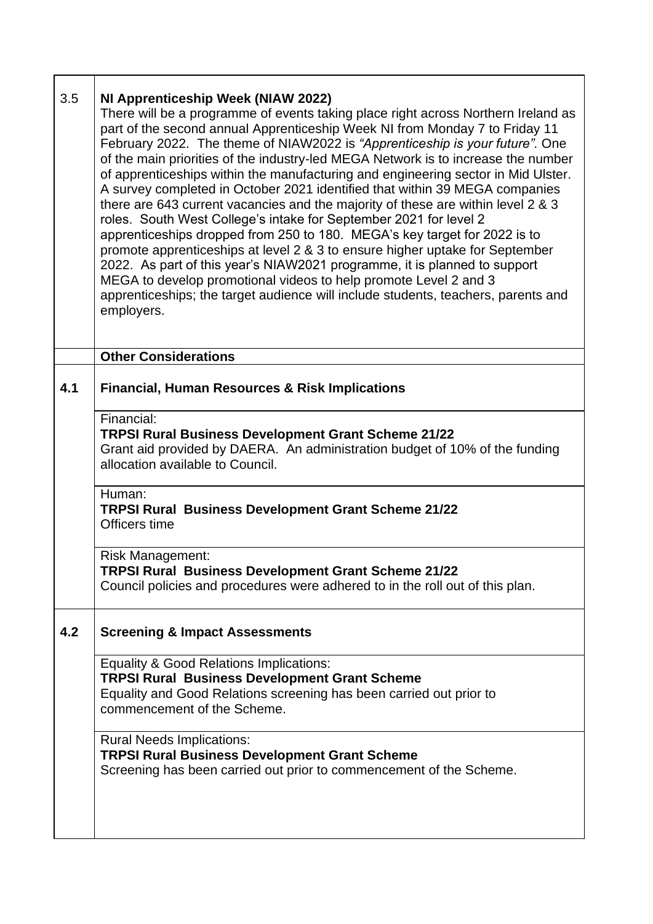| 3.5 | NI Apprenticeship Week (NIAW 2022)<br>There will be a programme of events taking place right across Northern Ireland as<br>part of the second annual Apprenticeship Week NI from Monday 7 to Friday 11<br>February 2022. The theme of NIAW2022 is "Apprenticeship is your future". One<br>of the main priorities of the industry-led MEGA Network is to increase the number<br>of apprenticeships within the manufacturing and engineering sector in Mid Ulster.<br>A survey completed in October 2021 identified that within 39 MEGA companies<br>there are 643 current vacancies and the majority of these are within level 2 & 3<br>roles. South West College's intake for September 2021 for level 2<br>apprenticeships dropped from 250 to 180. MEGA's key target for 2022 is to<br>promote apprenticeships at level 2 & 3 to ensure higher uptake for September<br>2022. As part of this year's NIAW2021 programme, it is planned to support<br>MEGA to develop promotional videos to help promote Level 2 and 3<br>apprenticeships; the target audience will include students, teachers, parents and<br>employers. |
|-----|---------------------------------------------------------------------------------------------------------------------------------------------------------------------------------------------------------------------------------------------------------------------------------------------------------------------------------------------------------------------------------------------------------------------------------------------------------------------------------------------------------------------------------------------------------------------------------------------------------------------------------------------------------------------------------------------------------------------------------------------------------------------------------------------------------------------------------------------------------------------------------------------------------------------------------------------------------------------------------------------------------------------------------------------------------------------------------------------------------------------------|
|     | <b>Other Considerations</b>                                                                                                                                                                                                                                                                                                                                                                                                                                                                                                                                                                                                                                                                                                                                                                                                                                                                                                                                                                                                                                                                                               |
| 4.1 | <b>Financial, Human Resources &amp; Risk Implications</b>                                                                                                                                                                                                                                                                                                                                                                                                                                                                                                                                                                                                                                                                                                                                                                                                                                                                                                                                                                                                                                                                 |
|     | Financial:<br><b>TRPSI Rural Business Development Grant Scheme 21/22</b><br>Grant aid provided by DAERA. An administration budget of 10% of the funding<br>allocation available to Council.                                                                                                                                                                                                                                                                                                                                                                                                                                                                                                                                                                                                                                                                                                                                                                                                                                                                                                                               |
|     | Human:<br><b>TRPSI Rural Business Development Grant Scheme 21/22</b><br>Officers time                                                                                                                                                                                                                                                                                                                                                                                                                                                                                                                                                                                                                                                                                                                                                                                                                                                                                                                                                                                                                                     |
|     | <b>Risk Management:</b><br><b>TRPSI Rural Business Development Grant Scheme 21/22</b><br>Council policies and procedures were adhered to in the roll out of this plan.                                                                                                                                                                                                                                                                                                                                                                                                                                                                                                                                                                                                                                                                                                                                                                                                                                                                                                                                                    |
| 4.2 | <b>Screening &amp; Impact Assessments</b>                                                                                                                                                                                                                                                                                                                                                                                                                                                                                                                                                                                                                                                                                                                                                                                                                                                                                                                                                                                                                                                                                 |
|     | <b>Equality &amp; Good Relations Implications:</b><br><b>TRPSI Rural Business Development Grant Scheme</b><br>Equality and Good Relations screening has been carried out prior to<br>commencement of the Scheme.                                                                                                                                                                                                                                                                                                                                                                                                                                                                                                                                                                                                                                                                                                                                                                                                                                                                                                          |
|     | <b>Rural Needs Implications:</b><br><b>TRPSI Rural Business Development Grant Scheme</b><br>Screening has been carried out prior to commencement of the Scheme.                                                                                                                                                                                                                                                                                                                                                                                                                                                                                                                                                                                                                                                                                                                                                                                                                                                                                                                                                           |
|     |                                                                                                                                                                                                                                                                                                                                                                                                                                                                                                                                                                                                                                                                                                                                                                                                                                                                                                                                                                                                                                                                                                                           |